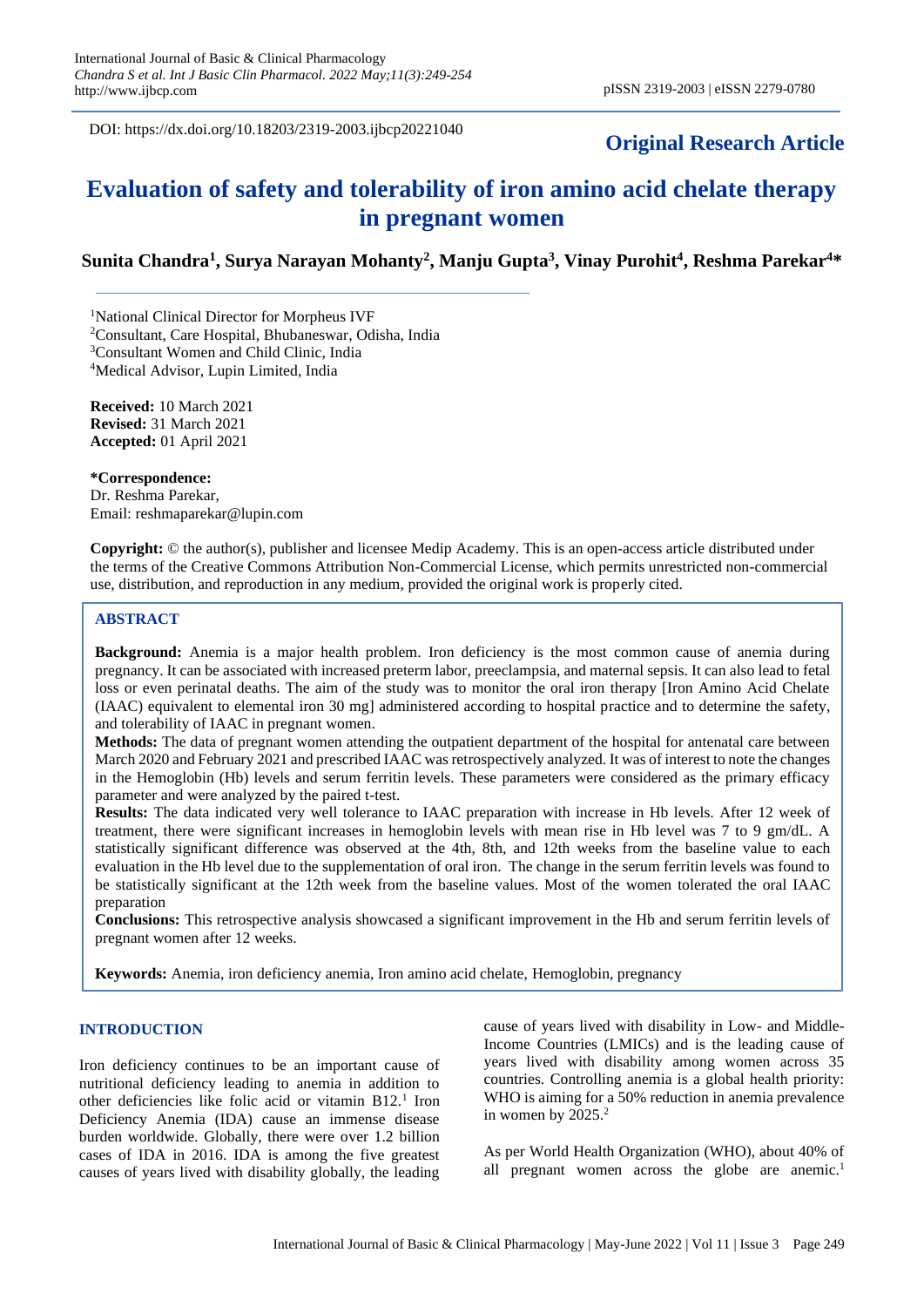DOI: https://dx.doi.org/10.18203/2319-2003.ijbcp20221040

# **Original Research Article**

# **Evaluation of safety and tolerability of iron amino acid chelate therapy in pregnant women**

## **Sunita Chandra<sup>1</sup> , Surya Narayan Mohanty<sup>2</sup> , Manju Gupta<sup>3</sup> , Vinay Purohit<sup>4</sup> , Reshma Parekar<sup>4</sup>\***

<sup>1</sup>National Clinical Director for Morpheus IVF

<sup>2</sup>Consultant, Care Hospital, Bhubaneswar, Odisha, India

<sup>3</sup>Consultant Women and Child Clinic, India

<sup>4</sup>Medical Advisor, Lupin Limited, India

**Received:** 10 March 2021 **Revised:** 31 March 2021 **Accepted:** 01 April 2021

**\*Correspondence:** Dr. Reshma Parekar, Email: reshmaparekar@lupin.com

**Copyright:** © the author(s), publisher and licensee Medip Academy. This is an open-access article distributed under the terms of the Creative Commons Attribution Non-Commercial License, which permits unrestricted non-commercial use, distribution, and reproduction in any medium, provided the original work is properly cited.

### **ABSTRACT**

**Background:** Anemia is a major health problem. Iron deficiency is the most common cause of anemia during pregnancy. It can be associated with increased preterm labor, preeclampsia, and maternal sepsis. It can also lead to fetal loss or even perinatal deaths. The aim of the study was to monitor the oral iron therapy [Iron Amino Acid Chelate (IAAC) equivalent to elemental iron 30 mg] administered according to hospital practice and to determine the safety, and tolerability of IAAC in pregnant women.

**Methods:** The data of pregnant women attending the outpatient department of the hospital for antenatal care between March 2020 and February 2021 and prescribed IAAC was retrospectively analyzed. It was of interest to note the changes in the Hemoglobin (Hb) levels and serum ferritin levels. These parameters were considered as the primary efficacy parameter and were analyzed by the paired t-test.

**Results:** The data indicated very well tolerance to IAAC preparation with increase in Hb levels. After 12 week of treatment, there were significant increases in hemoglobin levels with mean rise in Hb level was 7 to 9 gm/dL. A statistically significant difference was observed at the 4th, 8th, and 12th weeks from the baseline value to each evaluation in the Hb level due to the supplementation of oral iron. The change in the serum ferritin levels was found to be statistically significant at the 12th week from the baseline values. Most of the women tolerated the oral IAAC preparation

**Conclusions:** This retrospective analysis showcased a significant improvement in the Hb and serum ferritin levels of pregnant women after 12 weeks.

**Keywords:** Anemia, iron deficiency anemia, Iron amino acid chelate, Hemoglobin, pregnancy

### **INTRODUCTION**

Iron deficiency continues to be an important cause of nutritional deficiency leading to anemia in addition to other deficiencies like folic acid or vitamin B12.<sup>1</sup> Iron Deficiency Anemia (IDA) cause an immense disease burden worldwide. Globally, there were over 1.2 billion cases of IDA in 2016. IDA is among the five greatest causes of years lived with disability globally, the leading cause of years lived with disability in Low- and Middle-Income Countries (LMICs) and is the leading cause of years lived with disability among women across 35 countries. Controlling anemia is a global health priority: WHO is aiming for a 50% reduction in anemia prevalence in women by  $2025.<sup>2</sup>$ 

As per World Health Organization (WHO), about 40% of all pregnant women across the globe are anemic.<sup>1</sup>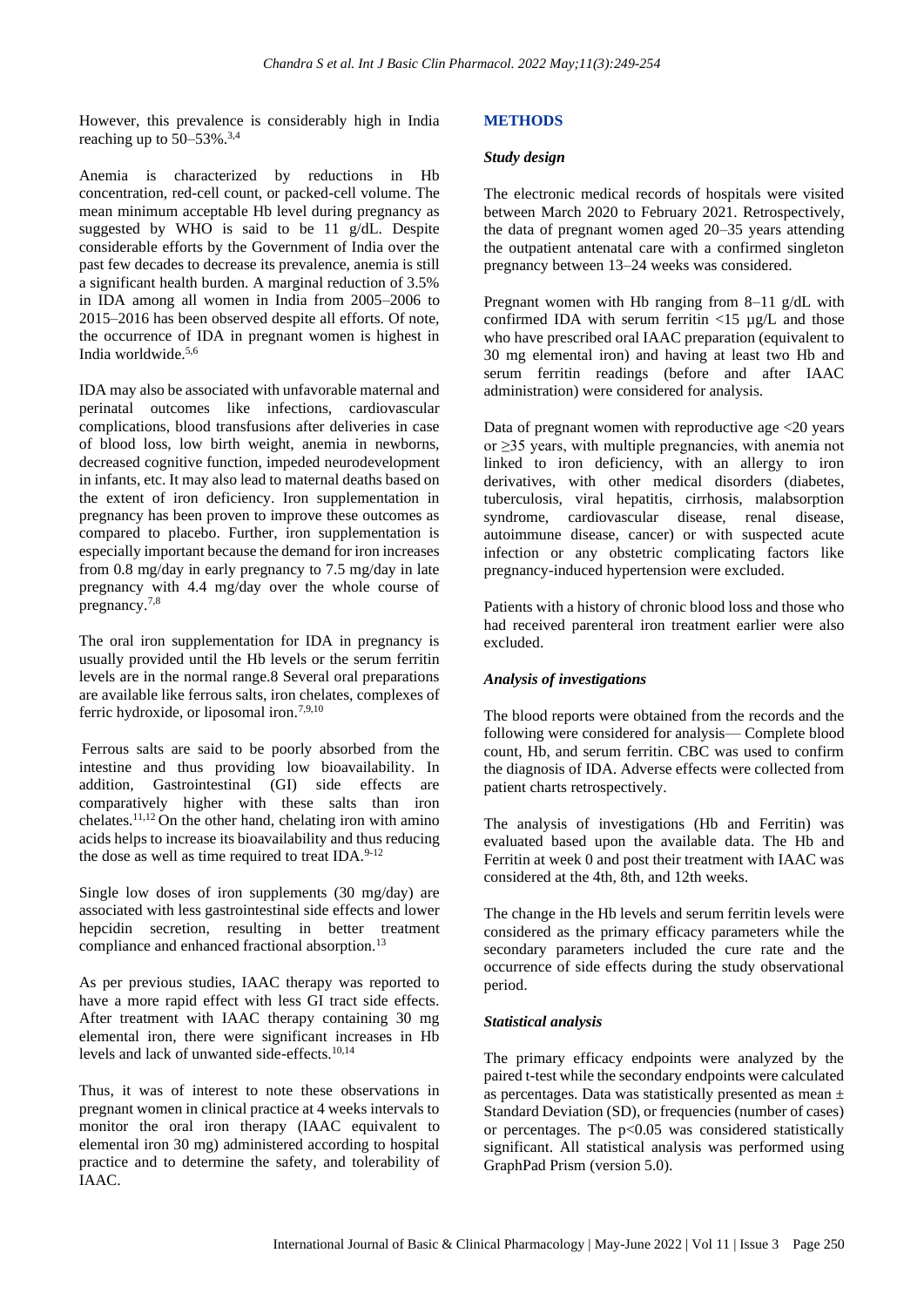However, this prevalence is considerably high in India reaching up to  $50-53\%$ .<sup>3,4</sup>

Anemia is characterized by reductions in Hb concentration, red-cell count, or packed-cell volume. The mean minimum acceptable Hb level during pregnancy as suggested by WHO is said to be 11  $g/dL$ . Despite considerable efforts by the Government of India over the past few decades to decrease its prevalence, anemia is still a significant health burden. A marginal reduction of 3.5% in IDA among all women in India from 2005–2006 to 2015–2016 has been observed despite all efforts. Of note, the occurrence of IDA in pregnant women is highest in India worldwide.5,6

IDA may also be associated with unfavorable maternal and perinatal outcomes like infections, cardiovascular complications, blood transfusions after deliveries in case of blood loss, low birth weight, anemia in newborns, decreased cognitive function, impeded neurodevelopment in infants, etc. It may also lead to maternal deaths based on the extent of iron deficiency. Iron supplementation in pregnancy has been proven to improve these outcomes as compared to placebo. Further, iron supplementation is especially important because the demand for iron increases from 0.8 mg/day in early pregnancy to 7.5 mg/day in late pregnancy with 4.4 mg/day over the whole course of pregnancy.7,8

The oral iron supplementation for IDA in pregnancy is usually provided until the Hb levels or the serum ferritin levels are in the normal range.8 Several oral preparations are available like ferrous salts, iron chelates, complexes of ferric hydroxide, or liposomal iron.7,9,10

Ferrous salts are said to be poorly absorbed from the intestine and thus providing low bioavailability. In addition, Gastrointestinal (GI) side effects are comparatively higher with these salts than iron chelates.<sup>11,12</sup> On the other hand, chelating iron with amino acids helps to increase its bioavailability and thus reducing the dose as well as time required to treat IDA.<sup>9-12</sup>

Single low doses of iron supplements (30 mg/day) are associated with less gastrointestinal side effects and lower hepcidin secretion, resulting in better treatment compliance and enhanced fractional absorption.<sup>13</sup>

As per previous studies, IAAC therapy was reported to have a more rapid effect with less GI tract side effects. After treatment with IAAC therapy containing 30 mg elemental iron, there were significant increases in Hb levels and lack of unwanted side-effects.10,14

Thus, it was of interest to note these observations in pregnant women in clinical practice at 4 weeks intervals to monitor the oral iron therapy (IAAC equivalent to elemental iron 30 mg) administered according to hospital practice and to determine the safety, and tolerability of IAAC.

### **METHODS**

### *Study design*

The electronic medical records of hospitals were visited between March 2020 to February 2021. Retrospectively, the data of pregnant women aged 20–35 years attending the outpatient antenatal care with a confirmed singleton pregnancy between 13–24 weeks was considered.

Pregnant women with Hb ranging from 8–11 g/dL with confirmed IDA with serum ferritin  $\langle 15 \ \mu g/L \rangle$  and those who have prescribed oral IAAC preparation (equivalent to 30 mg elemental iron) and having at least two Hb and serum ferritin readings (before and after IAAC administration) were considered for analysis.

Data of pregnant women with reproductive age  $\langle 20 \rangle$  years or ≥35 years, with multiple pregnancies, with anemia not linked to iron deficiency, with an allergy to iron derivatives, with other medical disorders (diabetes, tuberculosis, viral hepatitis, cirrhosis, malabsorption syndrome, cardiovascular disease, renal disease, autoimmune disease, cancer) or with suspected acute infection or any obstetric complicating factors like pregnancy-induced hypertension were excluded.

Patients with a history of chronic blood loss and those who had received parenteral iron treatment earlier were also excluded.

### *Analysis of investigations*

The blood reports were obtained from the records and the following were considered for analysis— Complete blood count, Hb, and serum ferritin. CBC was used to confirm the diagnosis of IDA. Adverse effects were collected from patient charts retrospectively.

The analysis of investigations (Hb and Ferritin) was evaluated based upon the available data. The Hb and Ferritin at week 0 and post their treatment with IAAC was considered at the 4th, 8th, and 12th weeks.

The change in the Hb levels and serum ferritin levels were considered as the primary efficacy parameters while the secondary parameters included the cure rate and the occurrence of side effects during the study observational period.

#### *Statistical analysis*

The primary efficacy endpoints were analyzed by the paired t-test while the secondary endpoints were calculated as percentages. Data was statistically presented as mean  $\pm$ Standard Deviation (SD), or frequencies (number of cases) or percentages. The  $p<0.05$  was considered statistically significant. All statistical analysis was performed using GraphPad Prism (version 5.0).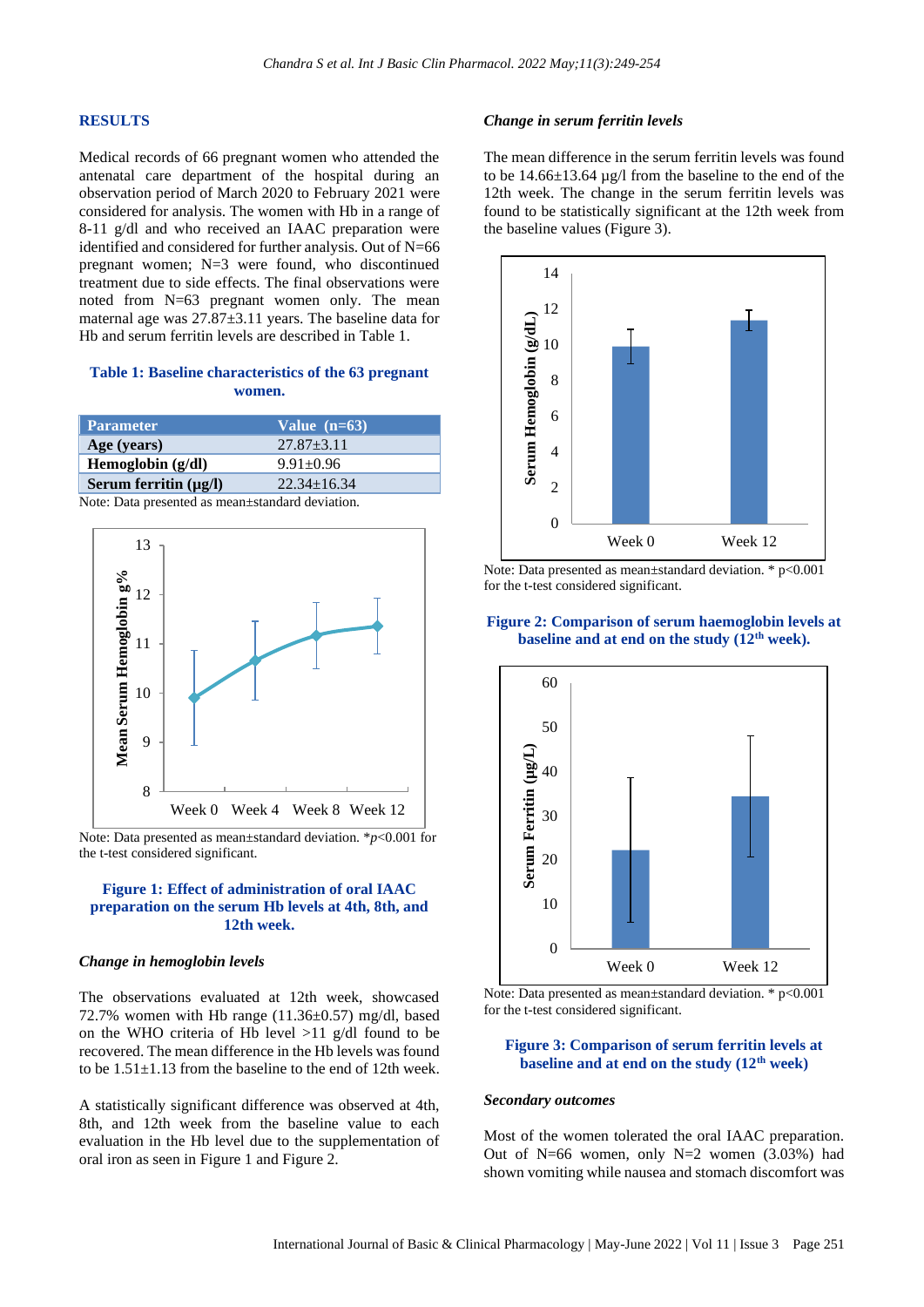#### **RESULTS**

Medical records of 66 pregnant women who attended the antenatal care department of the hospital during an observation period of March 2020 to February 2021 were considered for analysis. The women with Hb in a range of 8-11 g/dl and who received an IAAC preparation were identified and considered for further analysis. Out of N=66 pregnant women; N=3 were found, who discontinued treatment due to side effects. The final observations were noted from N=63 pregnant women only. The mean maternal age was 27.87±3.11 years. The baseline data for Hb and serum ferritin levels are described in Table 1.

### **Table 1: Baseline characteristics of the 63 pregnant women.**

| <b>Parameter</b>                                                    | Value $(n=63)$    |
|---------------------------------------------------------------------|-------------------|
| Age (years)                                                         | $27.87 + 3.11$    |
| Hemoglobin (g/dl)                                                   | $9.91 \pm 0.96$   |
| Serum ferritin $(\mu g/l)$                                          | $22.34 \pm 16.34$ |
| $\overline{\phantom{a}}$ . The contract of $\overline{\phantom{a}}$ | .                 |

Note: Data presented as mean±standard deviation.



Note: Data presented as mean±standard deviation. \**p*<0.001 for the t-test considered significant.

### **Figure 1: Effect of administration of oral IAAC preparation on the serum Hb levels at 4th, 8th, and 12th week.**

#### *Change in hemoglobin levels*

The observations evaluated at 12th week, showcased 72.7% women with Hb range  $(11.36\pm0.57)$  mg/dl, based on the WHO criteria of Hb level  $>11$  g/dl found to be recovered. The mean difference in the Hb levels was found to be  $1.51 \pm 1.13$  from the baseline to the end of 12th week.

A statistically significant difference was observed at 4th, 8th, and 12th week from the baseline value to each evaluation in the Hb level due to the supplementation of oral iron as seen in Figure 1 and Figure 2.

#### *Change in serum ferritin levels*

The mean difference in the serum ferritin levels was found to be 14.66±13.64 µg/l from the baseline to the end of the 12th week. The change in the serum ferritin levels was found to be statistically significant at the 12th week from the baseline values (Figure 3).



Note: Data presented as mean±standard deviation. \* p<0.001 for the t-test considered significant.

### **Figure 2: Comparison of serum haemoglobin levels at baseline and at end on the study (12th week).**



Note: Data presented as mean±standard deviation. \* p<0.001 for the t-test considered significant.

### **Figure 3: Comparison of serum ferritin levels at baseline and at end on the study (12th week)**

#### *Secondary outcomes*

Most of the women tolerated the oral IAAC preparation. Out of N=66 women, only N=2 women  $(3.03%)$  had shown vomiting while nausea and stomach discomfort was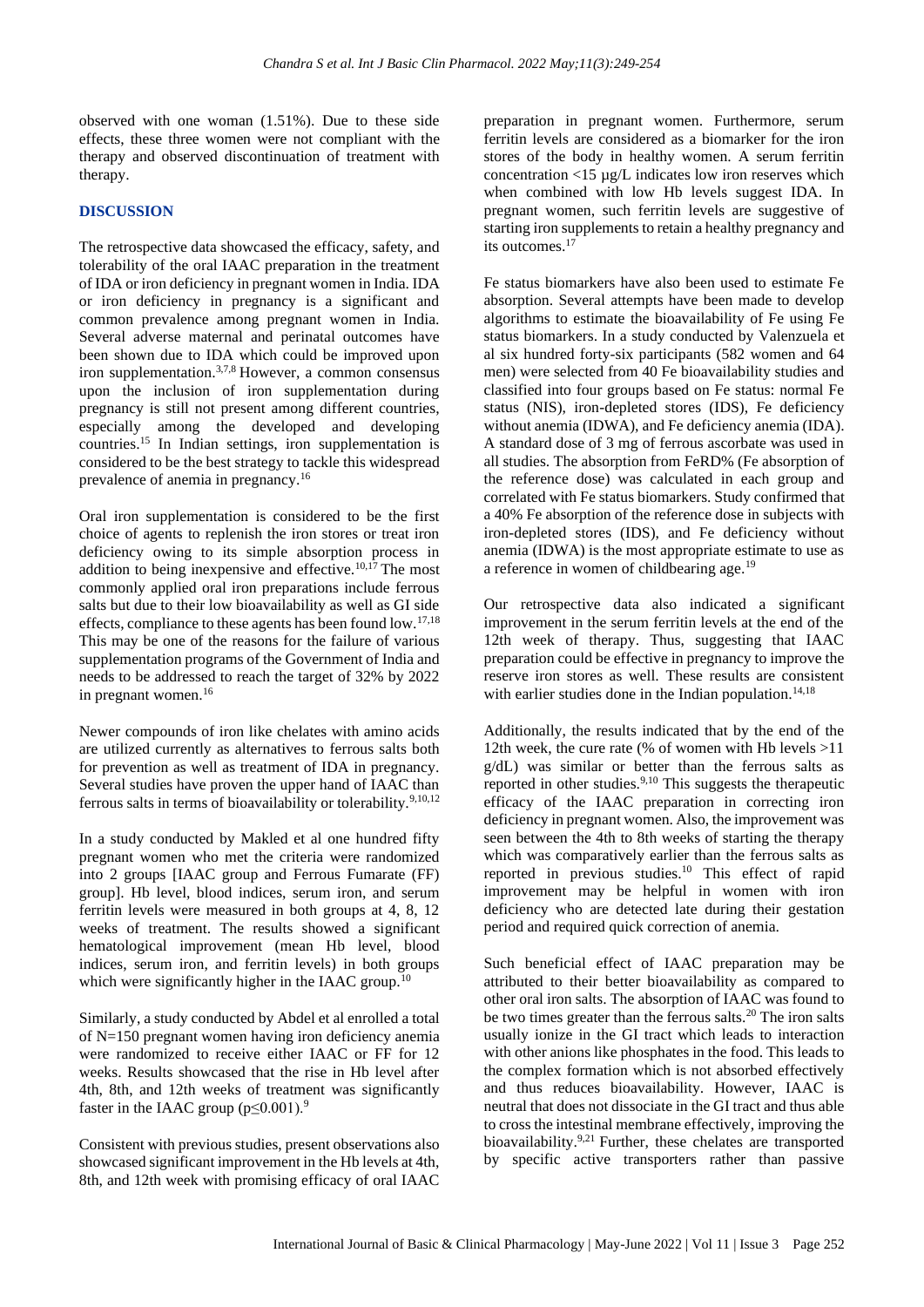observed with one woman (1.51%). Due to these side effects, these three women were not compliant with the therapy and observed discontinuation of treatment with therapy.

### **DISCUSSION**

The retrospective data showcased the efficacy, safety, and tolerability of the oral IAAC preparation in the treatment of IDA or iron deficiency in pregnant women in India. IDA or iron deficiency in pregnancy is a significant and common prevalence among pregnant women in India. Several adverse maternal and perinatal outcomes have been shown due to IDA which could be improved upon iron supplementation.3,7,8 However, a common consensus upon the inclusion of iron supplementation during pregnancy is still not present among different countries, especially among the developed and developing countries.<sup>15</sup> In Indian settings, iron supplementation is considered to be the best strategy to tackle this widespread prevalence of anemia in pregnancy.<sup>16</sup>

Oral iron supplementation is considered to be the first choice of agents to replenish the iron stores or treat iron deficiency owing to its simple absorption process in addition to being inexpensive and effective.<sup>10,17</sup> The most commonly applied oral iron preparations include ferrous salts but due to their low bioavailability as well as GI side effects, compliance to these agents has been found low.17,18 This may be one of the reasons for the failure of various supplementation programs of the Government of India and needs to be addressed to reach the target of 32% by 2022 in pregnant women.<sup>16</sup>

Newer compounds of iron like chelates with amino acids are utilized currently as alternatives to ferrous salts both for prevention as well as treatment of IDA in pregnancy. Several studies have proven the upper hand of IAAC than ferrous salts in terms of bioavailability or tolerability.<sup>9,10,12</sup>

In a study conducted by Makled et al one hundred fifty pregnant women who met the criteria were randomized into 2 groups [IAAC group and Ferrous Fumarate (FF) group]. Hb level, blood indices, serum iron, and serum ferritin levels were measured in both groups at 4, 8, 12 weeks of treatment. The results showed a significant hematological improvement (mean Hb level, blood indices, serum iron, and ferritin levels) in both groups which were significantly higher in the IAAC group.<sup>10</sup>

Similarly, a study conducted by Abdel et al enrolled a total of N=150 pregnant women having iron deficiency anemia were randomized to receive either IAAC or FF for 12 weeks. Results showcased that the rise in Hb level after 4th, 8th, and 12th weeks of treatment was significantly faster in the IAAC group  $(p \le 0.001)^9$ .

Consistent with previous studies, present observations also showcased significant improvement in the Hb levels at 4th, 8th, and 12th week with promising efficacy of oral IAAC

preparation in pregnant women. Furthermore, serum ferritin levels are considered as a biomarker for the iron stores of the body in healthy women. A serum ferritin concentration <15 µg/L indicates low iron reserves which when combined with low Hb levels suggest IDA. In pregnant women, such ferritin levels are suggestive of starting iron supplements to retain a healthy pregnancy and its outcomes.<sup>17</sup>

Fe status biomarkers have also been used to estimate Fe absorption. Several attempts have been made to develop algorithms to estimate the bioavailability of Fe using Fe status biomarkers. In a study conducted by Valenzuela et al six hundred forty-six participants (582 women and 64 men) were selected from 40 Fe bioavailability studies and classified into four groups based on Fe status: normal Fe status (NIS), iron-depleted stores (IDS), Fe deficiency without anemia (IDWA), and Fe deficiency anemia (IDA). A standard dose of 3 mg of ferrous ascorbate was used in all studies. The absorption from FeRD% (Fe absorption of the reference dose) was calculated in each group and correlated with Fe status biomarkers. Study confirmed that a 40% Fe absorption of the reference dose in subjects with iron-depleted stores (IDS), and Fe deficiency without anemia (IDWA) is the most appropriate estimate to use as a reference in women of childbearing age.<sup>19</sup>

Our retrospective data also indicated a significant improvement in the serum ferritin levels at the end of the 12th week of therapy. Thus, suggesting that IAAC preparation could be effective in pregnancy to improve the reserve iron stores as well. These results are consistent with earlier studies done in the Indian population.<sup>14,18</sup>

Additionally, the results indicated that by the end of the 12th week, the cure rate (% of women with Hb levels >11 g/dL) was similar or better than the ferrous salts as reported in other studies.9,10 This suggests the therapeutic efficacy of the IAAC preparation in correcting iron deficiency in pregnant women. Also, the improvement was seen between the 4th to 8th weeks of starting the therapy which was comparatively earlier than the ferrous salts as reported in previous studies.<sup>10</sup> This effect of rapid improvement may be helpful in women with iron deficiency who are detected late during their gestation period and required quick correction of anemia.

Such beneficial effect of IAAC preparation may be attributed to their better bioavailability as compared to other oral iron salts. The absorption of IAAC was found to be two times greater than the ferrous salts.<sup>20</sup> The iron salts usually ionize in the GI tract which leads to interaction with other anions like phosphates in the food. This leads to the complex formation which is not absorbed effectively and thus reduces bioavailability. However, IAAC is neutral that does not dissociate in the GI tract and thus able to cross the intestinal membrane effectively, improving the bioavailability.9,21 Further, these chelates are transported by specific active transporters rather than passive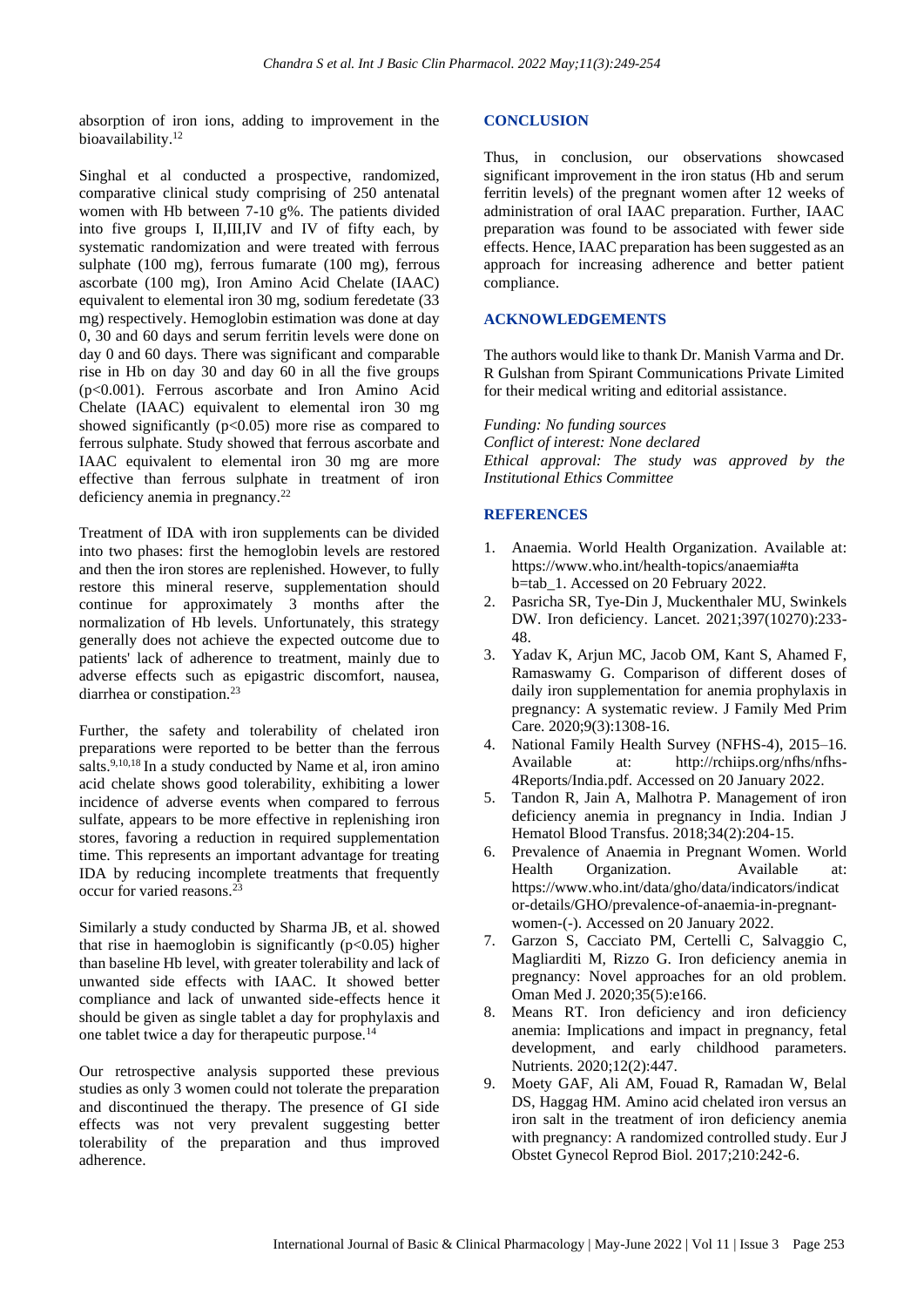absorption of iron ions, adding to improvement in the bioavailability.<sup>12</sup>

Singhal et al conducted a prospective, randomized, comparative clinical study comprising of 250 antenatal women with Hb between 7-10 g%. The patients divided into five groups I, II,III,IV and IV of fifty each, by systematic randomization and were treated with ferrous sulphate (100 mg), ferrous fumarate (100 mg), ferrous ascorbate (100 mg), Iron Amino Acid Chelate (IAAC) equivalent to elemental iron 30 mg, sodium feredetate (33 mg) respectively. Hemoglobin estimation was done at day 0, 30 and 60 days and serum ferritin levels were done on day 0 and 60 days. There was significant and comparable rise in Hb on day 30 and day 60 in all the five groups (p<0.001). Ferrous ascorbate and Iron Amino Acid Chelate (IAAC) equivalent to elemental iron 30 mg showed significantly  $(p<0.05)$  more rise as compared to ferrous sulphate. Study showed that ferrous ascorbate and IAAC equivalent to elemental iron 30 mg are more effective than ferrous sulphate in treatment of iron deficiency anemia in pregnancy.<sup>22</sup>

Treatment of IDA with iron supplements can be divided into two phases: first the hemoglobin levels are restored and then the iron stores are replenished. However, to fully restore this mineral reserve, supplementation should continue for approximately 3 months after the normalization of Hb levels. Unfortunately, this strategy generally does not achieve the expected outcome due to patients' lack of adherence to treatment, mainly due to adverse effects such as epigastric discomfort, nausea, diarrhea or constipation.<sup>23</sup>

Further, the safety and tolerability of chelated iron preparations were reported to be better than the ferrous salts.<sup>9,10,18</sup> In a study conducted by Name et al, iron amino acid chelate shows good tolerability, exhibiting a lower incidence of adverse events when compared to ferrous sulfate, appears to be more effective in replenishing iron stores, favoring a reduction in required supplementation time. This represents an important advantage for treating IDA by reducing incomplete treatments that frequently occur for varied reasons.<sup>23</sup>

Similarly a study conducted by Sharma JB, et al. showed that rise in haemoglobin is significantly  $(p<0.05)$  higher than baseline Hb level, with greater tolerability and lack of unwanted side effects with IAAC. It showed better compliance and lack of unwanted side-effects hence it should be given as single tablet a day for prophylaxis and one tablet twice a day for therapeutic purpose.<sup>14</sup>

Our retrospective analysis supported these previous studies as only 3 women could not tolerate the preparation and discontinued the therapy. The presence of GI side effects was not very prevalent suggesting better tolerability of the preparation and thus improved adherence.

### **CONCLUSION**

Thus, in conclusion, our observations showcased significant improvement in the iron status (Hb and serum ferritin levels) of the pregnant women after 12 weeks of administration of oral IAAC preparation. Further, IAAC preparation was found to be associated with fewer side effects. Hence, IAAC preparation has been suggested as an approach for increasing adherence and better patient compliance.

### **ACKNOWLEDGEMENTS**

The authors would like to thank Dr. Manish Varma and Dr. R Gulshan from Spirant Communications Private Limited for their medical writing and editorial assistance.

### *Funding: No funding sources*

*Conflict of interest: None declared Ethical approval: The study was approved by the Institutional Ethics Committee*

### **REFERENCES**

- 1. Anaemia. World Health Organization. Available at: https://www.who.int/health-topics/anaemia#ta b=tab\_1. Accessed on 20 February 2022.
- 2. Pasricha SR, Tye-Din J, Muckenthaler MU, Swinkels DW. Iron deficiency. Lancet. 2021;397(10270):233- 48.
- 3. Yadav K, Arjun MC, Jacob OM, Kant S, Ahamed F, Ramaswamy G. Comparison of different doses of daily iron supplementation for anemia prophylaxis in pregnancy: A systematic review. J Family Med Prim Care. 2020;9(3):1308-16.
- 4. National Family Health Survey (NFHS-4), 2015–16. Available at: [http://rchiips.org/nfhs/nfhs-](http://rchiips.org/nfhs/nfhs-4Reports/India.pdf)[4Reports/India.pdf.](http://rchiips.org/nfhs/nfhs-4Reports/India.pdf) Accessed on 20 January 2022.
- 5. Tandon R, Jain A, Malhotra P. Management of iron deficiency anemia in pregnancy in India. Indian J Hematol Blood Transfus. 2018;34(2):204-15.
- 6. Prevalence of Anaemia in Pregnant Women. World Health Organization. Available at: [https://www.who.int/data/gho/data/indicators/indicat](https://www.who.int/data/gho/data/indicators/indicator-details/GHO/prevalence-of-anaemia-in-pregnant-women-(-)) [or-details/GHO/prevalence-of-anaemia-in-pregnant](https://www.who.int/data/gho/data/indicators/indicator-details/GHO/prevalence-of-anaemia-in-pregnant-women-(-))[women-\(-\).](https://www.who.int/data/gho/data/indicators/indicator-details/GHO/prevalence-of-anaemia-in-pregnant-women-(-)) Accessed on 20 January 2022.
- 7. Garzon S, Cacciato PM, Certelli C, Salvaggio C, Magliarditi M, Rizzo G. Iron deficiency anemia in pregnancy: Novel approaches for an old problem. Oman Med J. 2020;35(5):e166.
- 8. Means RT. Iron deficiency and iron deficiency anemia: Implications and impact in pregnancy, fetal development, and early childhood parameters. Nutrients. 2020;12(2):447.
- 9. Moety GAF, Ali AM, Fouad R, Ramadan W, Belal DS, Haggag HM. Amino acid chelated iron versus an iron salt in the treatment of iron deficiency anemia with pregnancy: A randomized controlled study. Eur J Obstet Gynecol Reprod Biol. 2017;210:242-6.